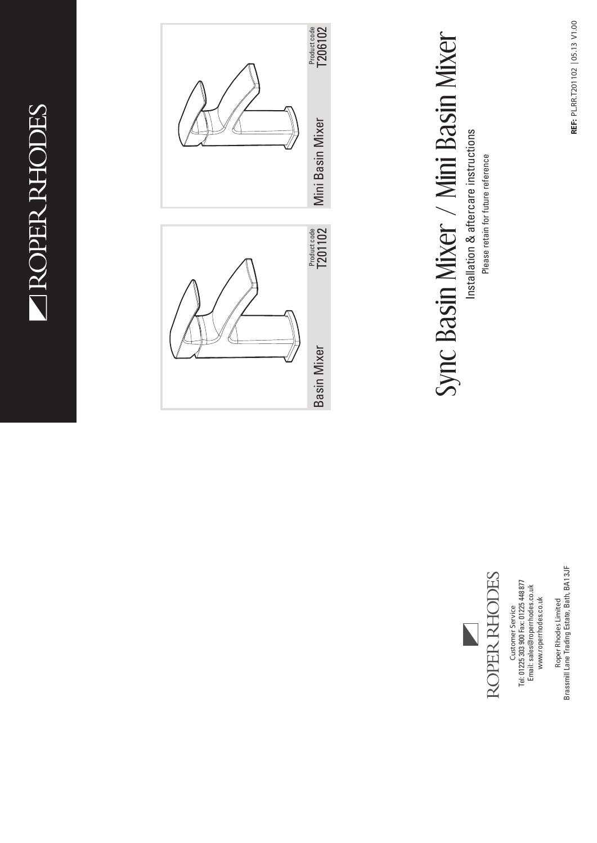NOPER RHODES



Brassmill Lane Trading Estate, Bath, BA1 3JF Brassmill Lane Trading Estate, Bath, BA1 3JF Roper Rhodes Limited **Roper Rhodes Limited**

Customer Service<br>Tel: 01225 303 900 Fax: 01225 448 877<br>Email: sales@roperrhodes.co.uk Tel: 01225 303 900 Fax: 01225 448 877 Email: sales@roperrhodes.co.uk www.roperrhodes.co.uk www.roperrhodes.co.uk **Customer Service**

ROPER RHODES

Sync Basin Mixer / Mini Basin Mixer

Sync Basin Mixer / Mini Basin Mixer

Installation & aftercare instructions Please retain for future reference

Installation & aftercare instructions Please retain for future reference